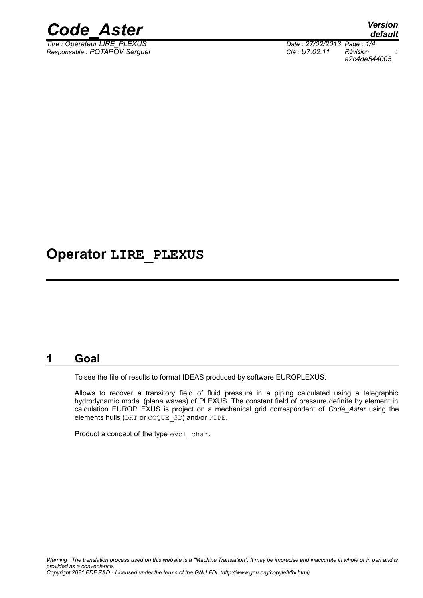

*Titre : Opérateur LIRE\_PLEXUS Date : 27/02/2013 Page : 1/4 Responsable : POTAPOV Serguei Clé : U7.02.11 Révision :*

*default a2c4de544005*

## **Operator LIRE\_PLEXUS**

### **1 Goal**

To see the file of results to format IDEAS produced by software EUROPLEXUS.

Allows to recover a transitory field of fluid pressure in a piping calculated using a telegraphic hydrodynamic model (plane waves) of PLEXUS. The constant field of pressure definite by element in calculation EUROPLEXUS is project on a mechanical grid correspondent of *Code\_Aster* using the elements hulls (DKT or COQUE\_3D) and/or PIPE.

Product a concept of the type evol char.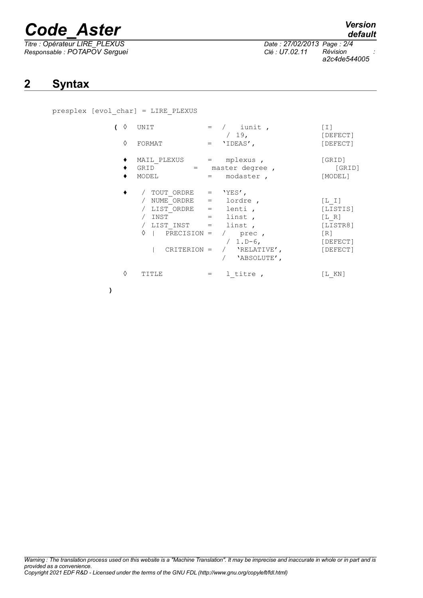# *Code\_Aster Version*

*Titre : Opérateur LIRE\_PLEXUS Date : 27/02/2013 Page : 2/4 Responsable : POTAPOV Serguei Clé : U7.02.11 Révision :*

*a2c4de544005*

## **2 Syntax**

presplex [evol\_char] = LIRE\_PLEXUS

| ♦<br>♦ | UNIT<br>FORMAT                                                                                                                                |                   | $=$ / iunit,<br>$/19$ ,<br>$=$ 'IDEAS',                                             | $\lceil 1 \rceil$<br>[DEFECT]<br>[DEFECT]                               |
|--------|-----------------------------------------------------------------------------------------------------------------------------------------------|-------------------|-------------------------------------------------------------------------------------|-------------------------------------------------------------------------|
|        | MAIL PLEXUS<br>GRID<br>MODEL                                                                                                                  | $=$ $\sim$<br>$=$ | mplexus,<br>= master degree,<br>modaster,                                           | [GRID]<br>[GRID]<br>[MODEL]                                             |
|        | / TOUT ORDRE $=$ 'YES',<br>/ $NUME$ ORDRE =<br>$/$ LIST ORDRE $=$<br>/ INST<br>/ LIST INST =<br>♦<br>$ $ PRECISION = $/$ prec,<br>CRITERION = | $=$ $\qquad$      | lordre,<br>lenti,<br>linst,<br>linst,<br>$/ 1.D-6,$<br>/ 'RELATIVE',<br>'ABSOLUTE', | $[L I]$<br>[LISTIS]<br>[L R]<br>[LISTR8]<br>[R]<br>[DEFECT]<br>[DEFECT] |
| ♦      | TITLE                                                                                                                                         | $=$               | 1 titre,                                                                            | [L KN]                                                                  |

**)**

*default*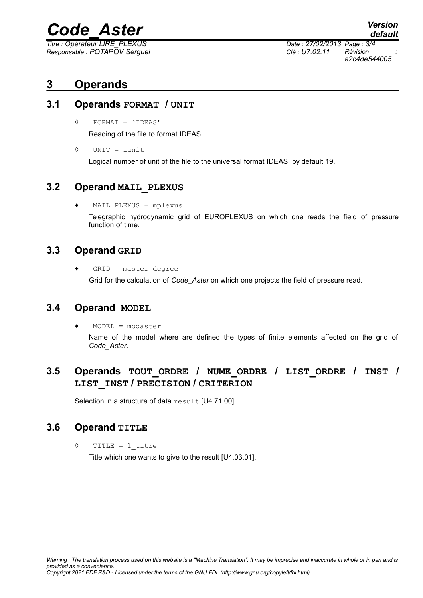# *Code\_Aster Version*

*Titre : Opérateur LIRE\_PLEXUS Date : 27/02/2013 Page : 3/4 Responsable : POTAPOV Serguei Clé : U7.02.11 Révision :*

*a2c4de544005*

### **3 Operands**

#### **3.1 Operands FORMAT / UNIT**

◊ FORMAT = 'IDEAS'

Reading of the file to format IDEAS.

◊ UNIT = iunit

Logical number of unit of the file to the universal format IDEAS, by default 19.

#### **3.2 Operand MAIL\_PLEXUS**

MAIL PLEXUS = mplexus

Telegraphic hydrodynamic grid of EUROPLEXUS on which one reads the field of pressure function of time.

#### **3.3 Operand GRID**

 $\triangleleft$  GRID = master degree

Grid for the calculation of *Code\_Aster* on which one projects the field of pressure read.

#### **3.4 Operand MODEL**

 $MODEL = modaster$ 

Name of the model where are defined the types of finite elements affected on the grid of *Code\_Aster*.

#### **3.5 Operands TOUT\_ORDRE / NUME\_ORDRE / LIST\_ORDRE / INST / LIST\_INST / PRECISION / CRITERION**

Selection in a structure of data result [U4.71.00].

#### **3.6 Operand TITLE**

◊ TITLE = l\_titre

Title which one wants to give to the result [U4.03.01].